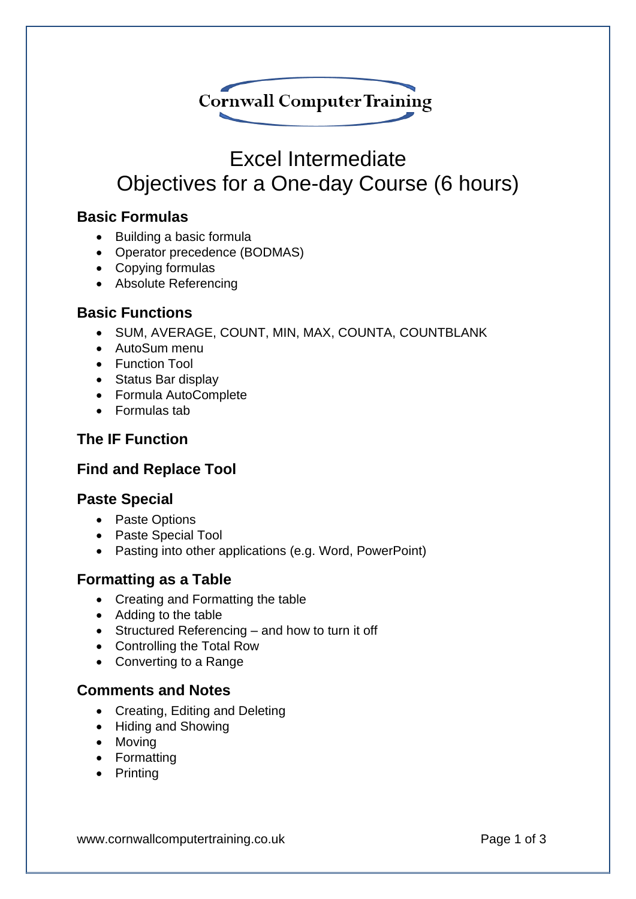

# Excel Intermediate Objectives for a One-day Course (6 hours)

# **Basic Formulas**

- Building a basic formula
- Operator precedence (BODMAS)
- Copying formulas
- Absolute Referencing

## **Basic Functions**

- SUM, AVERAGE, COUNT, MIN, MAX, COUNTA, COUNTBLANK
- AutoSum menu
- Function Tool
- Status Bar display
- Formula AutoComplete
- Formulas tab

# **The IF Function**

# **Find and Replace Tool**

#### **Paste Special**

- Paste Options
- Paste Special Tool
- Pasting into other applications (e.g. Word, PowerPoint)

#### **Formatting as a Table**

- Creating and Formatting the table
- Adding to the table
- Structured Referencing and how to turn it off
- Controlling the Total Row
- Converting to a Range

#### **Comments and Notes**

- Creating, Editing and Deleting
- Hiding and Showing
- Moving
- Formatting
- Printing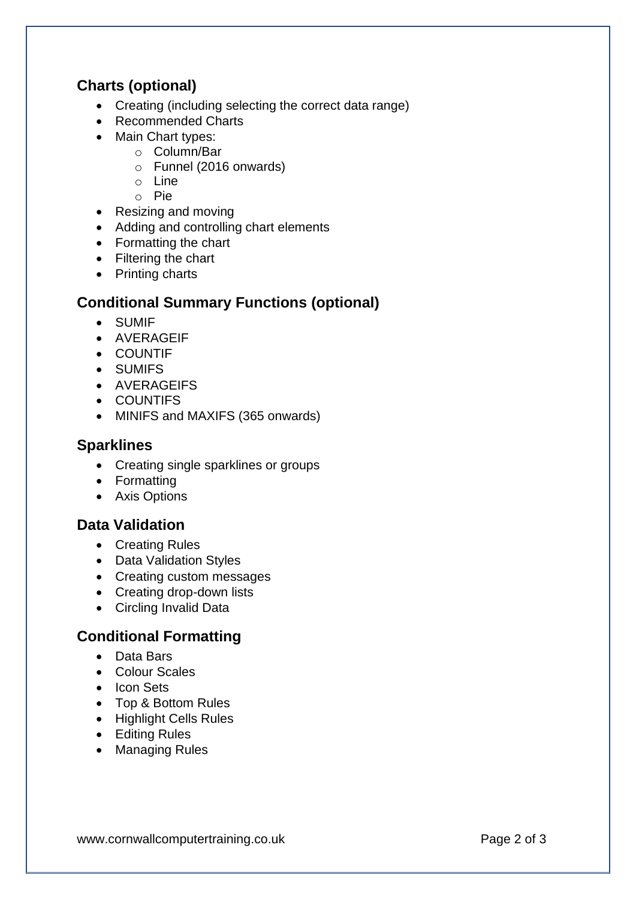# **Charts (optional)**

- Creating (including selecting the correct data range)
- Recommended Charts
- Main Chart types:
	- o Column/Bar
	- o Funnel (2016 onwards)
	- o Line
	- o Pie
- Resizing and moving
- Adding and controlling chart elements
- Formatting the chart
- Filtering the chart
- Printing charts

## **Conditional Summary Functions (optional)**

- SUMIF
- AVERAGEIF
- COUNTIF
- SUMIFS
- AVERAGEIFS
- COUNTIFS
- MINIFS and MAXIFS (365 onwards)

#### **Sparklines**

- Creating single sparklines or groups
- Formatting
- Axis Options

#### **Data Validation**

- Creating Rules
- Data Validation Styles
- Creating custom messages
- Creating drop-down lists
- Circling Invalid Data

# **Conditional Formatting**

- Data Bars
- Colour Scales
- Icon Sets
- Top & Bottom Rules
- Highlight Cells Rules
- Editing Rules
- Managing Rules